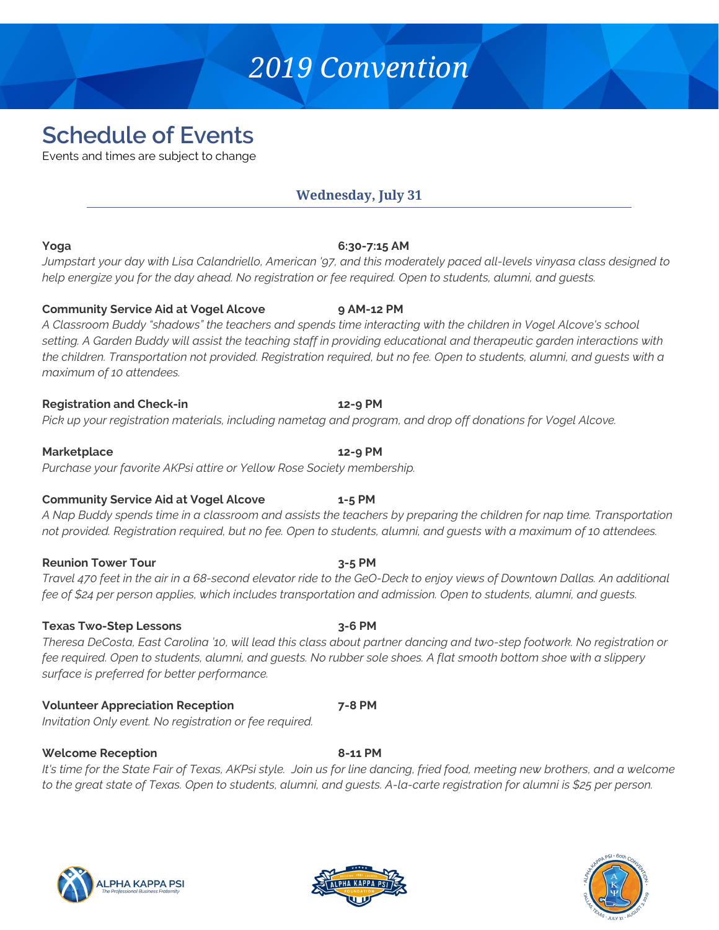# *2019 Convention*

# **Schedule of Events**

Events and times are subject to change

# **Wednesday, July 31**

### **Yoga 6:30-7:15 AM**

*Jumpstart your day with Lisa Calandriello, American '97, and this moderately paced all-levels vinyasa class designed to help energize you for the day ahead. No registration or fee required. Open to students, alumni, and guests.*

# **Community Service Aid at Vogel Alcove 9 AM-12 PM**

*A Classroom Buddy "shadows" the teachers and spends time interacting with the children in Vogel Alcove's school setting. A Garden Buddy will assist the teaching staff in providing educational and therapeutic garden interactions with the children. Transportation not provided. Registration required, but no fee. Open to students, alumni, and guests with a maximum of 10 attendees.*

# **Registration and Check-in 12-9 PM**

*Pick up your registration materials, including nametag and program, and drop off donations for Vogel Alcove.*

# **Marketplace 12-9 PM**

*Purchase your favorite AKPsi attire or Yellow Rose Society membership.*

# **Community Service Aid at Vogel Alcove 1-5 PM**

*A Nap Buddy spends time in a classroom and assists the teachers by preparing the children for nap time. Transportation not provided. Registration required, but no fee. Open to students, alumni, and guests with a maximum of 10 attendees.*

# **Reunion Tower Tour 3-5 PM**

*Travel 470 feet in the air in a 68-second elevator ride to the GeO-Deck to enjoy views of Downtown Dallas. An additional fee of \$24 per person applies, which includes transportation and admission. Open to students, alumni, and guests.*

# **Texas Two-Step Lessons 3-6 PM**

*Theresa DeCosta, East Carolina '10, will lead this class about partner dancing and two-step footwork. No registration or fee required. Open to students, alumni, and guests. No rubber sole shoes. A flat smooth bottom shoe with a slippery surface is preferred for better performance.*

# **Volunteer Appreciation Reception 7-8 PM**

*Invitation Only event. No registration or fee required.*

# **Welcome Reception 8-11 PM**

*It's time for the State Fair of Texas, AKPsi style. Join us for line dancing, fried food, meeting new brothers, and a welcome to the great state of Texas. Open to students, alumni, and guests. A-la-carte registration for alumni is \$25 per person.*





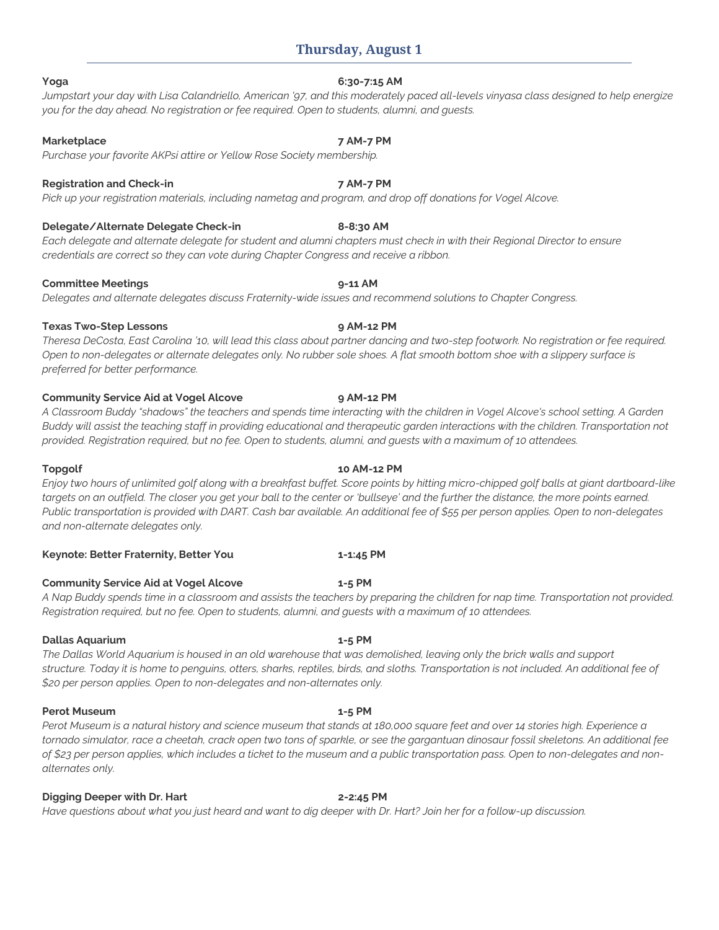# **Thursday, August 1**

### **Yoga 6:30-7:15 AM**

*Jumpstart your day with Lisa Calandriello, American '97, and this moderately paced all-levels vinyasa class designed to help energize you for the day ahead. No registration or fee required. Open to students, alumni, and guests.*

### **Marketplace 7 AM-7 PM**

*Purchase your favorite AKPsi attire or Yellow Rose Society membership.*

### **Registration and Check-in 7 AM-7 PM**

*Pick up your registration materials, including nametag and program, and drop off donations for Vogel Alcove.*

### **Delegate/Alternate Delegate Check-in 8-8:30 AM**

*Each delegate and alternate delegate for student and alumni chapters must check in with their Regional Director to ensure credentials are correct so they can vote during Chapter Congress and receive a ribbon.*

### **Committee Meetings 9-11 AM**

*Delegates and alternate delegates discuss Fraternity-wide issues and recommend solutions to Chapter Congress.*

### **Texas Two-Step Lessons 9 AM-12 PM**

*Theresa DeCosta, East Carolina '10, will lead this class about partner dancing and two-step footwork. No registration or fee required. Open to non-delegates or alternate delegates only. No rubber sole shoes. A flat smooth bottom shoe with a slippery surface is preferred for better performance.*

### **Community Service Aid at Vogel Alcove 9 AM-12 PM**

*A Classroom Buddy "shadows" the teachers and spends time interacting with the children in Vogel Alcove's school setting. A Garden Buddy will assist the teaching staff in providing educational and therapeutic garden interactions with the children. Transportation not provided. Registration required, but no fee. Open to students, alumni, and guests with a maximum of 10 attendees.*

*Enjoy two hours of unlimited golf along with a breakfast buffet. Score points by hitting micro-chipped golf balls at giant dartboard-like*  targets on an outfield. The closer you get your ball to the center or 'bullseye' and the further the distance, the more points earned. *Public transportation is provided with DART. Cash bar available. An additional fee of \$55 per person applies. Open to non-delegates and non-alternate delegates only.*

### **Keynote: Better Fraternity, Better You 1-1:45 PM**

### **Community Service Aid at Vogel Alcove 1-5 PM**

*A Nap Buddy spends time in a classroom and assists the teachers by preparing the children for nap time. Transportation not provided. Registration required, but no fee. Open to students, alumni, and guests with a maximum of 10 attendees.*

### **Dallas Aquarium 1-5 PM**

*The Dallas World Aquarium is housed in an old warehouse that was demolished, leaving only the brick walls and support structure. Today it is home to penguins, otters, sharks, reptiles, birds, and sloths. Transportation is not included. An additional fee of \$20 per person applies. Open to non-delegates and non-alternates only.*

### **Perot Museum 1-5 PM**

*Perot Museum is a natural history and science museum that stands at 180,000 square feet and over 14 stories high. Experience a tornado simulator, race a cheetah, crack open two tons of sparkle, or see the gargantuan dinosaur fossil skeletons. An additional fee of \$23 per person applies, which includes a ticket to the museum and a public transportation pass. Open to non-delegates and nonalternates only.*

### **Digging Deeper with Dr. Hart 2-2:45 PM**

*Have questions about what you just heard and want to dig deeper with Dr. Hart? Join her for a follow-up discussion.*

# **Topgolf 10 AM-12 PM**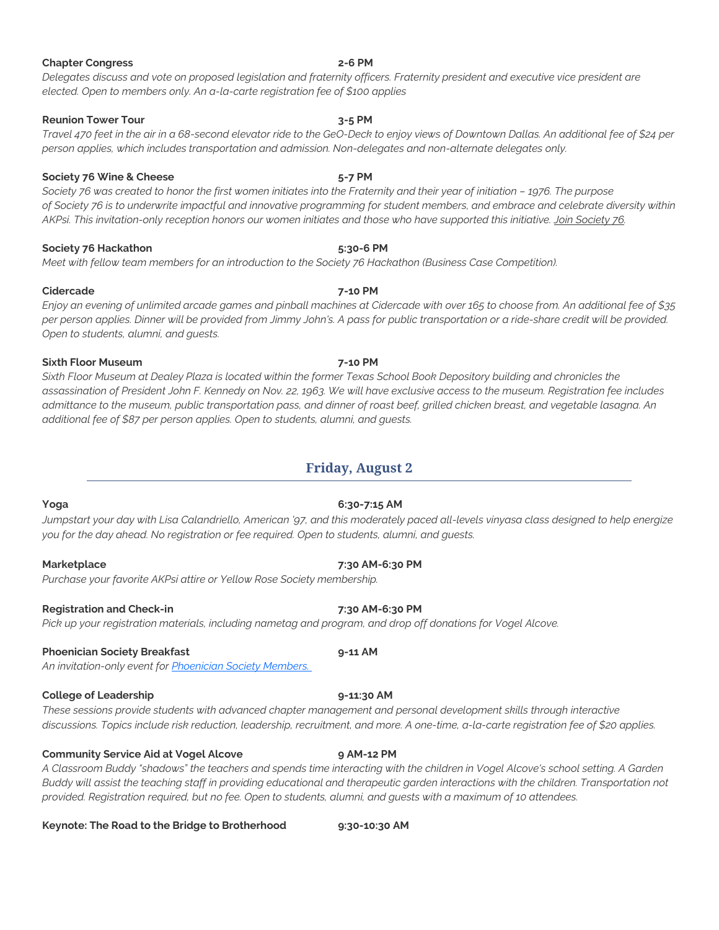# **Chapter Congress 2-6 PM**

*Delegates discuss and vote on proposed legislation and fraternity officers. Fraternity president and executive vice president are elected. Open to members only. An a-la-carte registration fee of \$100 applies*

### **Reunion Tower Tour 3-5 PM**

*Travel 470 feet in the air in a 68-second elevator ride to the GeO-Deck to enjoy views of Downtown Dallas. An additional fee of \$24 per person applies, which includes transportation and admission. Non-delegates and non-alternate delegates only.*

### **Society 76 Wine & Cheese 5-7 PM**

*Society 76 was created to honor the first women initiates into the Fraternity and their year of initiation – 1976. The purpose of Society 76 is to underwrite impactful and innovative programming for student members, and embrace and celebrate diversity within AKPsi. This invitation-only reception honors our women initiates and those who have supported this initiative. [Join Society 76.](https://www.classy.org/give/214240/#!/donation/checkout)*

### **Society 76 Hackathon 5:30-6 PM**

*Meet with fellow team members for an introduction to the Society 76 Hackathon (Business Case Competition).*

### **Cidercade 7-10 PM**

*Enjoy an evening of unlimited arcade games and pinball machines at Cidercade with over 165 to choose from. An additional fee of \$35 per person applies. Dinner will be provided from Jimmy John's. A pass for public transportation or a ride-share credit will be provided. Open to students, alumni, and guests.*

### **Sixth Floor Museum 7-10 PM**

*Sixth Floor Museum at Dealey Plaza is located within the former Texas School Book Depository building and chronicles the assassination of President John F. Kennedy on Nov. 22, 1963. We will have exclusive access to the museum. Registration fee includes admittance to the museum, public transportation pass, and dinner of roast beef, grilled chicken breast, and vegetable lasagna. An additional fee of \$87 per person applies. Open to students, alumni, and guests.*

# **Friday, August 2**

# *Jumpstart your day with Lisa Calandriello, American '97, and this moderately paced all-levels vinyasa class designed to help energize you for the day ahead. No registration or fee required. Open to students, alumni, and guests.*

### **Marketplace 7:30 AM-6:30 PM**

*Purchase your favorite AKPsi attire or Yellow Rose Society membership.*

### **Registration and Check-in 7:30 AM-6:30 PM**

### *Pick up your registration materials, including nametag and program, and drop off donations for Vogel Alcove.*

### **Phoenician Society Breakfast 9-11 AM**

*An invitation-only event for [Phoenician Society Members.](https://akpsifoundation.org/giving-opportunities/givingclubs/)*

### **College of Leadership 9-11:30 AM**

*These sessions provide students with advanced chapter management and personal development skills through interactive discussions. Topics include risk reduction, leadership, recruitment, and more. A one-time, a-la-carte registration fee of \$20 applies.*

### **Community Service Aid at Vogel Alcove 9 AM-12 PM**

*A Classroom Buddy "shadows" the teachers and spends time interacting with the children in Vogel Alcove's school setting. A Garden Buddy will assist the teaching staff in providing educational and therapeutic garden interactions with the children. Transportation not provided. Registration required, but no fee. Open to students, alumni, and guests with a maximum of 10 attendees.*

### **Keynote: The Road to the Bridge to Brotherhood 9:30-10:30 AM**

# **Yoga 6:30-7:15 AM**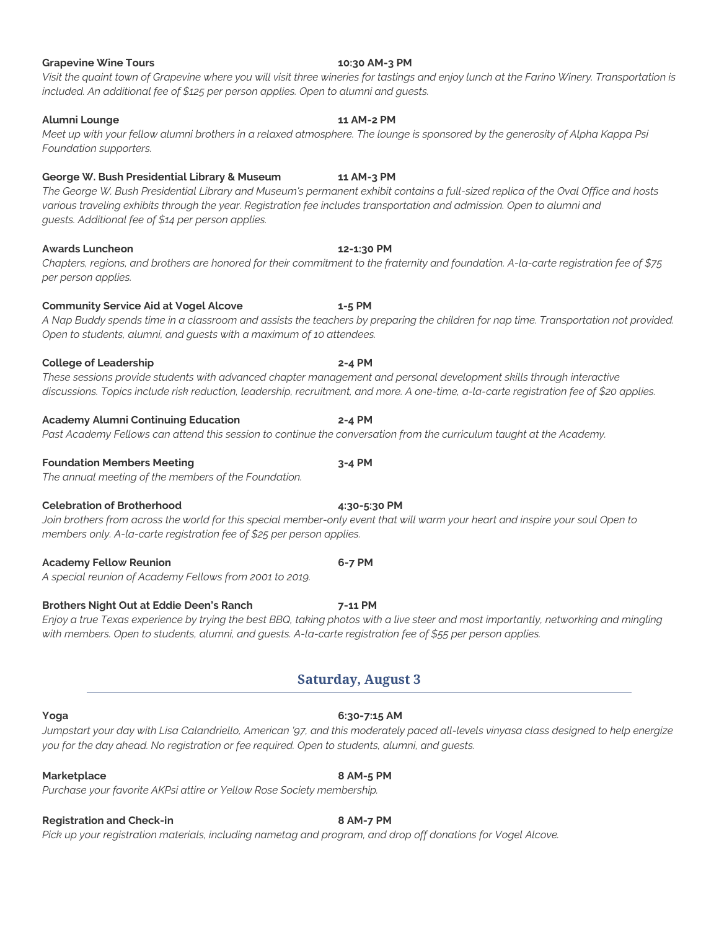### **Grapevine Wine Tours 10:30 AM-3 PM**

### *Visit the quaint town of Grapevine where you will visit three wineries for tastings and enjoy lunch at the Farino Winery. Transportation is included. An additional fee of \$125 per person applies. Open to alumni and guests.*

### **Alumni Lounge 11 AM-2 PM**

*Meet up with your fellow alumni brothers in a relaxed atmosphere. The lounge is sponsored by the generosity of Alpha Kappa Psi Foundation supporters.*

### **George W. Bush Presidential Library & Museum 11 AM-3 PM**

*The George W. Bush Presidential Library and Museum's permanent exhibit contains a full-sized replica of the Oval Office and hosts various traveling exhibits through the year. Registration fee includes transportation and admission. Open to alumni and guests. Additional fee of \$14 per person applies.*

### **Awards Luncheon 12-1:30 PM**

*Chapters, regions, and brothers are honored for their commitment to the fraternity and foundation. A-la-carte registration fee of \$75 per person applies.*

### **Community Service Aid at Vogel Alcove 1-5 PM**

### *A Nap Buddy spends time in a classroom and assists the teachers by preparing the children for nap time. Transportation not provided. Open to students, alumni, and guests with a maximum of 10 attendees.*

**College of Leadership 2-4 PM** *These sessions provide students with advanced chapter management and personal development skills through interactive discussions. Topics include risk reduction, leadership, recruitment, and more. A one-time, a-la-carte registration fee of \$20 applies.*

### **Academy Alumni Continuing Education 2-4 PM**

*Past Academy Fellows can attend this session to continue the conversation from the curriculum taught at the Academy.*

### **Foundation Members Meeting 3-4 PM**

*The annual meeting of the members of the Foundation.*

### **Celebration of Brotherhood 4:30-5:30 PM**

*Join brothers from across the world for this special member-only event that will warm your heart and inspire your soul Open to members only. A-la-carte registration fee of \$25 per person applies.*

### **Academy Fellow Reunion 6-7 PM**

*A special reunion of Academy Fellows from 2001 to 2019.*

### **Brothers Night Out at Eddie Deen's Ranch 7-11 PM**

*Enjoy a true Texas experience by trying the best BBQ, taking photos with a live steer and most importantly, networking and mingling with members. Open to students, alumni, and guests. A-la-carte registration fee of \$55 per person applies.*

# **Saturday, August 3**

*Jumpstart your day with Lisa Calandriello, American '97, and this moderately paced all-levels vinyasa class designed to help energize you for the day ahead. No registration or fee required. Open to students, alumni, and guests.*

### **Marketplace 8 AM-5 PM**

*Purchase your favorite AKPsi attire or Yellow Rose Society membership.*

# **Registration and Check-in 8 AM-7 PM**

*Pick up your registration materials, including nametag and program, and drop off donations for Vogel Alcove.*

### **Yoga 6:30-7:15 AM**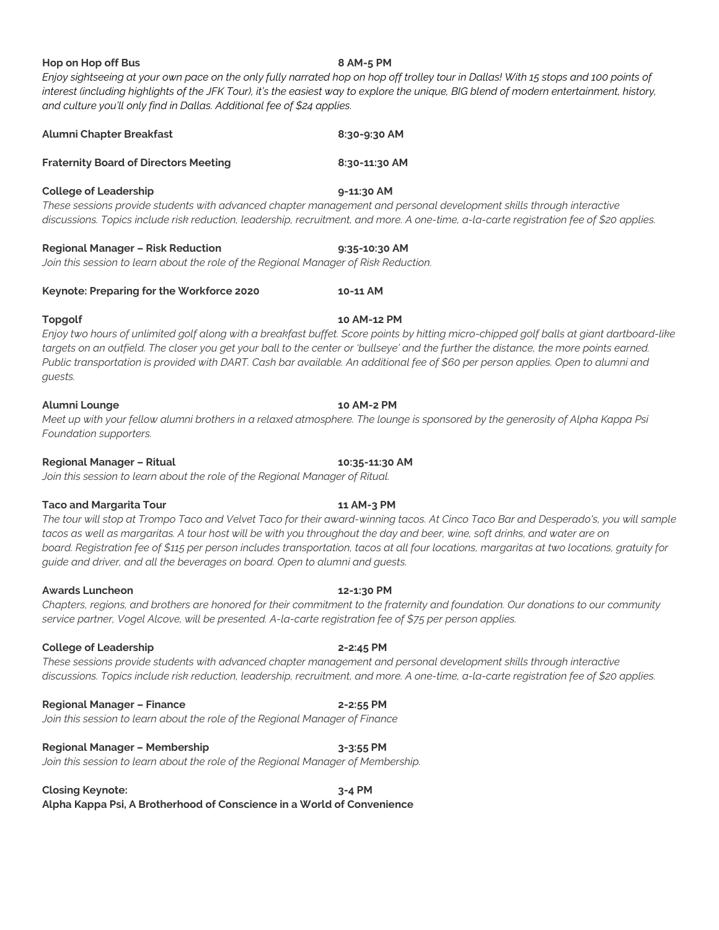# *interest (including highlights of the JFK Tour), it's the easiest way to explore the unique, BIG blend of modern entertainment, history, and culture you'll only find in Dallas. Additional fee of \$24 applies.* **Alumni Chapter Breakfast 8:30-9:30 AM Fraternity Board of Directors Meeting 8:30-11:30 AM College of Leadership 9-11:30 AM** *These sessions provide students with advanced chapter management and personal development skills through interactive discussions. Topics include risk reduction, leadership, recruitment, and more. A one-time, a-la-carte registration fee of \$20 applies.*

*Enjoy sightseeing at your own pace on the only fully narrated hop on hop off trolley tour in Dallas! With 15 stops and 100 points of* 

**Regional Manager – Risk Reduction 9:35-10:30 AM** *Join this session to learn about the role of the Regional Manager of Risk Reduction.*

**Keynote: Preparing for the Workforce 2020 10-11 AM**

**Hop on Hop off Bus 8 AM-5 PM**

**Topgolf 10 AM-12 PM** *Enjoy two hours of unlimited golf along with a breakfast buffet. Score points by hitting micro-chipped golf balls at giant dartboard-like targets on an outfield. The closer you get your ball to the center or 'bullseye' and the further the distance, the more points earned. Public transportation is provided with DART. Cash bar available. An additional fee of \$60 per person applies. Open to alumni and guests.*

### **Alumni Lounge 10 AM-2 PM**

*Meet up with your fellow alumni brothers in a relaxed atmosphere. The lounge is sponsored by the generosity of Alpha Kappa Psi Foundation supporters.*

**Regional Manager – Ritual 10:35-11:30 AM**

*Join this session to learn about the role of the Regional Manager of Ritual.*

### **Taco and Margarita Tour 11 AM-3 PM**

*The tour will stop at Trompo Taco and Velvet Taco for their award-winning tacos. At Cinco Taco Bar and Desperado's, you will sample tacos as well as margaritas. A tour host will be with you throughout the day and beer, wine, soft drinks, and water are on board. Registration fee of \$115 per person includes transportation, tacos at all four locations, margaritas at two locations, gratuity for guide and driver, and all the beverages on board. Open to alumni and guests.*

**Awards Luncheon 12-1:30 PM**

*Chapters, regions, and brothers are honored for their commitment to the fraternity and foundation. Our donations to our community service partner, Vogel Alcove, will be presented. A-la-carte registration fee of \$75 per person applies.*

### **College of Leadership 2-2:45 PM**

*These sessions provide students with advanced chapter management and personal development skills through interactive discussions. Topics include risk reduction, leadership, recruitment, and more. A one-time, a-la-carte registration fee of \$20 applies.*

**Regional Manager – Finance 2-2:55 PM** *Join this session to learn about the role of the Regional Manager of Finance*

**Regional Manager – Membership 3-3:55 PM** *Join this session to learn about the role of the Regional Manager of Membership.*

**Closing Keynote: 3-4 PM**

**Alpha Kappa Psi, A Brotherhood of Conscience in a World of Convenience**